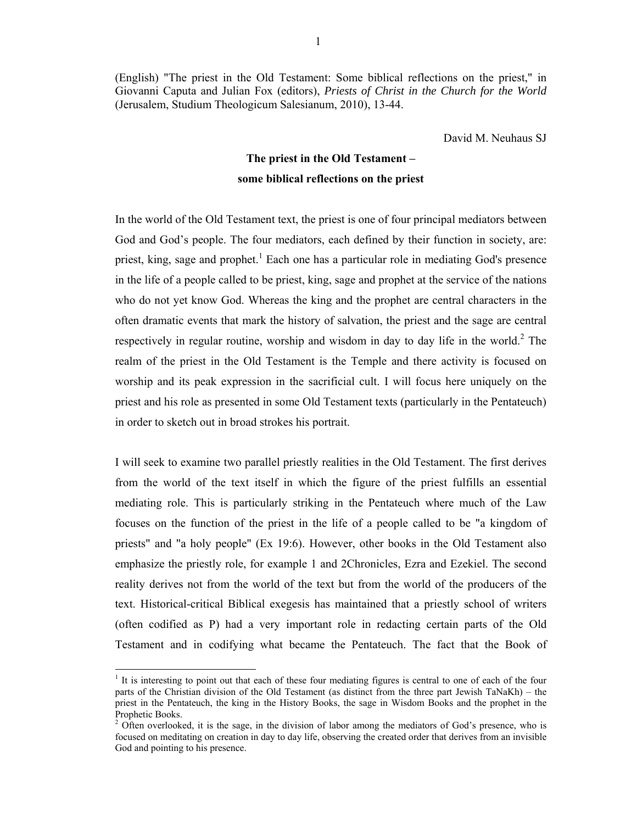(English) "The priest in the Old Testament: Some biblical reflections on the priest," in Giovanni Caputa and Julian Fox (editors), *Priests of Christ in the Church for the World* (Jerusalem, Studium Theologicum Salesianum, 2010), 13-44.

David M. Neuhaus SJ

# **The priest in the Old Testament – some biblical reflections on the priest**

In the world of the Old Testament text, the priest is one of four principal mediators between God and God's people. The four mediators, each defined by their function in society, are: priest, king, sage and prophet.<sup>1</sup> Each one has a particular role in mediating God's presence in the life of a people called to be priest, king, sage and prophet at the service of the nations who do not yet know God. Whereas the king and the prophet are central characters in the often dramatic events that mark the history of salvation, the priest and the sage are central respectively in regular routine, worship and wisdom in day to day life in the world.<sup>2</sup> The realm of the priest in the Old Testament is the Temple and there activity is focused on worship and its peak expression in the sacrificial cult. I will focus here uniquely on the priest and his role as presented in some Old Testament texts (particularly in the Pentateuch) in order to sketch out in broad strokes his portrait.

I will seek to examine two parallel priestly realities in the Old Testament. The first derives from the world of the text itself in which the figure of the priest fulfills an essential mediating role. This is particularly striking in the Pentateuch where much of the Law focuses on the function of the priest in the life of a people called to be "a kingdom of priests" and "a holy people" (Ex 19:6). However, other books in the Old Testament also emphasize the priestly role, for example 1 and 2Chronicles, Ezra and Ezekiel. The second reality derives not from the world of the text but from the world of the producers of the text. Historical-critical Biblical exegesis has maintained that a priestly school of writers (often codified as P) had a very important role in redacting certain parts of the Old Testament and in codifying what became the Pentateuch. The fact that the Book of

<sup>&</sup>lt;sup>1</sup> It is interesting to point out that each of these four mediating figures is central to one of each of the four parts of the Christian division of the Old Testament (as distinct from the three part Jewish TaNaKh) – the priest in the Pentateuch, the king in the History Books, the sage in Wisdom Books and the prophet in the Prophetic Books.

<sup>2</sup> Often overlooked, it is the sage, in the division of labor among the mediators of God's presence, who is focused on meditating on creation in day to day life, observing the created order that derives from an invisible God and pointing to his presence.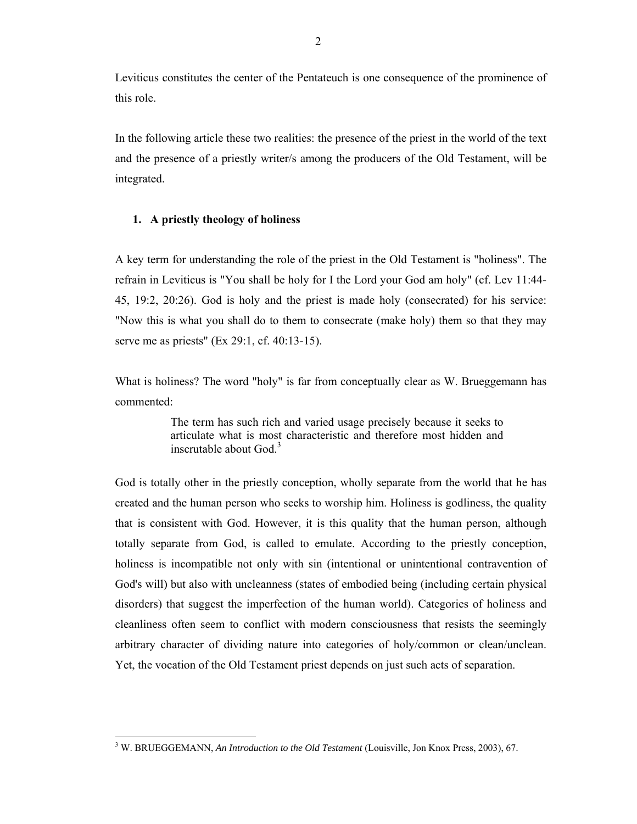Leviticus constitutes the center of the Pentateuch is one consequence of the prominence of this role.

In the following article these two realities: the presence of the priest in the world of the text and the presence of a priestly writer/s among the producers of the Old Testament, will be integrated.

### **1. A priestly theology of holiness**

A key term for understanding the role of the priest in the Old Testament is "holiness". The refrain in Leviticus is "You shall be holy for I the Lord your God am holy" (cf. Lev 11:44- 45, 19:2, 20:26). God is holy and the priest is made holy (consecrated) for his service: "Now this is what you shall do to them to consecrate (make holy) them so that they may serve me as priests" (Ex 29:1, cf. 40:13-15).

What is holiness? The word "holy" is far from conceptually clear as W. Brueggemann has commented:

> The term has such rich and varied usage precisely because it seeks to articulate what is most characteristic and therefore most hidden and inscrutable about God.<sup>3</sup>

God is totally other in the priestly conception, wholly separate from the world that he has created and the human person who seeks to worship him. Holiness is godliness, the quality that is consistent with God. However, it is this quality that the human person, although totally separate from God, is called to emulate. According to the priestly conception, holiness is incompatible not only with sin (intentional or unintentional contravention of God's will) but also with uncleanness (states of embodied being (including certain physical disorders) that suggest the imperfection of the human world). Categories of holiness and cleanliness often seem to conflict with modern consciousness that resists the seemingly arbitrary character of dividing nature into categories of holy/common or clean/unclean. Yet, the vocation of the Old Testament priest depends on just such acts of separation.

 3 W. BRUEGGEMANN, *An Introduction to the Old Testament* (Louisville, Jon Knox Press, 2003), 67.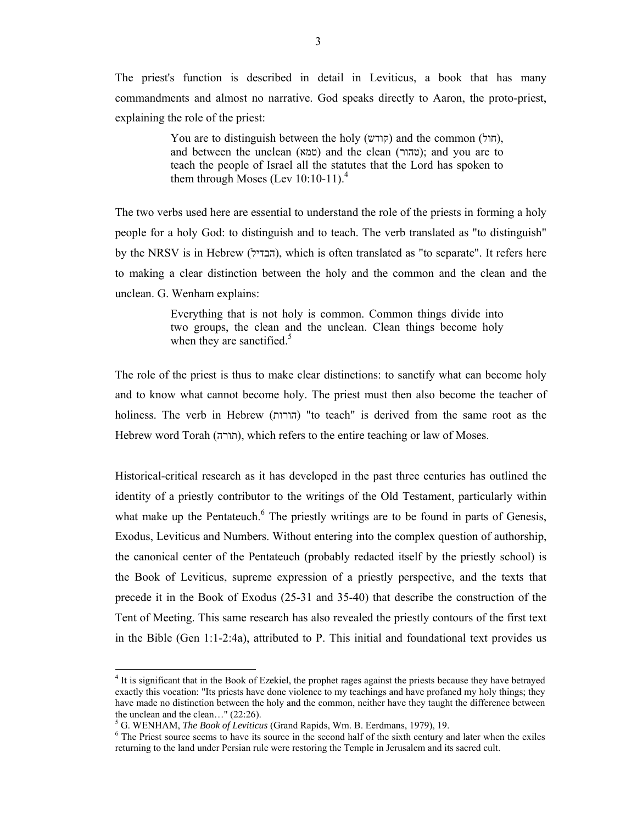The priest's function is described in detail in Leviticus, a book that has many commandments and almost no narrative. God speaks directly to Aaron, the proto-priest, explaining the role of the priest:

> You are to distinguish between the holy (קודש) and the common (חול), and between the unclean (טמא) and the clean (טהור); and you are to teach the people of Israel all the statutes that the Lord has spoken to them through Moses (Lev  $10:10-11$ ).<sup>4</sup>

The two verbs used here are essential to understand the role of the priests in forming a holy people for a holy God: to distinguish and to teach. The verb translated as "to distinguish" by the NRSV is in Hebrew (הבדיל), which is often translated as "to separate". It refers here to making a clear distinction between the holy and the common and the clean and the unclean. G. Wenham explains:

> Everything that is not holy is common. Common things divide into two groups, the clean and the unclean. Clean things become holy when they are sanctified. $5$

The role of the priest is thus to make clear distinctions: to sanctify what can become holy and to know what cannot become holy. The priest must then also become the teacher of holiness. The verb in Hebrew (הורות" (to teach" is derived from the same root as the Hebrew word Torah (תורה), which refers to the entire teaching or law of Moses.

Historical-critical research as it has developed in the past three centuries has outlined the identity of a priestly contributor to the writings of the Old Testament, particularly within what make up the Pentateuch. $<sup>6</sup>$  The priestly writings are to be found in parts of Genesis,</sup> Exodus, Leviticus and Numbers. Without entering into the complex question of authorship, the canonical center of the Pentateuch (probably redacted itself by the priestly school) is the Book of Leviticus, supreme expression of a priestly perspective, and the texts that precede it in the Book of Exodus (25-31 and 35-40) that describe the construction of the Tent of Meeting. This same research has also revealed the priestly contours of the first text in the Bible (Gen 1:1-2:4a), attributed to P. This initial and foundational text provides us

<sup>&</sup>lt;sup>4</sup> It is significant that in the Book of Ezekiel, the prophet rages against the priests because they have betrayed exactly this vocation: "Its priests have done violence to my teachings and have profaned my holy things; they have made no distinction between the holy and the common, neither have they taught the difference between the unclean and the clean…" (22:26).

 $^5$  G. WENHAM, *The Book of Leviticus* (Grand Rapids, Wm. B. Eerdmans, 1979), 19.

<sup>&</sup>lt;sup>6</sup> The Priest source seems to have its source in the second half of the sixth century and later when the exiles returning to the land under Persian rule were restoring the Temple in Jerusalem and its sacred cult.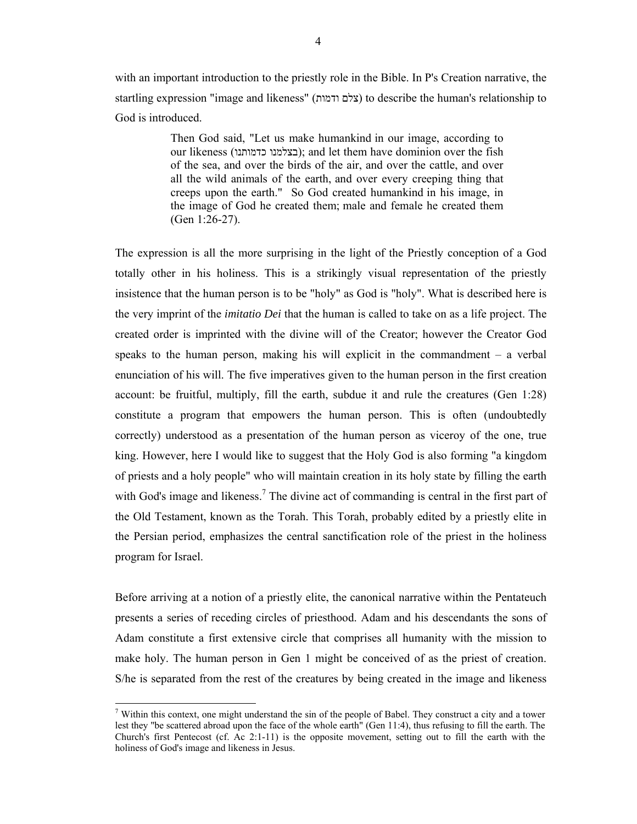with an important introduction to the priestly role in the Bible. In P's Creation narrative, the startling expression "image and likeness" (ודמות צלם (to describe the human's relationship to God is introduced.

> Then God said, "Let us make humankind in our image, according to our likeness (כצלמנו כדמותנו); and let them have dominion over the fish of the sea, and over the birds of the air, and over the cattle, and over all the wild animals of the earth, and over every creeping thing that creeps upon the earth." So God created humankind in his image, in the image of God he created them; male and female he created them (Gen 1:26-27).

The expression is all the more surprising in the light of the Priestly conception of a God totally other in his holiness. This is a strikingly visual representation of the priestly insistence that the human person is to be "holy" as God is "holy". What is described here is the very imprint of the *imitatio Dei* that the human is called to take on as a life project. The created order is imprinted with the divine will of the Creator; however the Creator God speaks to the human person, making his will explicit in the commandment  $-$  a verbal enunciation of his will. The five imperatives given to the human person in the first creation account: be fruitful, multiply, fill the earth, subdue it and rule the creatures (Gen 1:28) constitute a program that empowers the human person. This is often (undoubtedly correctly) understood as a presentation of the human person as viceroy of the one, true king. However, here I would like to suggest that the Holy God is also forming "a kingdom of priests and a holy people" who will maintain creation in its holy state by filling the earth with God's image and likeness.<sup>7</sup> The divine act of commanding is central in the first part of the Old Testament, known as the Torah. This Torah, probably edited by a priestly elite in the Persian period, emphasizes the central sanctification role of the priest in the holiness program for Israel.

Before arriving at a notion of a priestly elite, the canonical narrative within the Pentateuch presents a series of receding circles of priesthood. Adam and his descendants the sons of Adam constitute a first extensive circle that comprises all humanity with the mission to make holy. The human person in Gen 1 might be conceived of as the priest of creation. S/he is separated from the rest of the creatures by being created in the image and likeness

 $7$  Within this context, one might understand the sin of the people of Babel. They construct a city and a tower lest they "be scattered abroad upon the face of the whole earth" (Gen 11:4), thus refusing to fill the earth. The Church's first Pentecost (cf. Ac 2:1-11) is the opposite movement, setting out to fill the earth with the holiness of God's image and likeness in Jesus.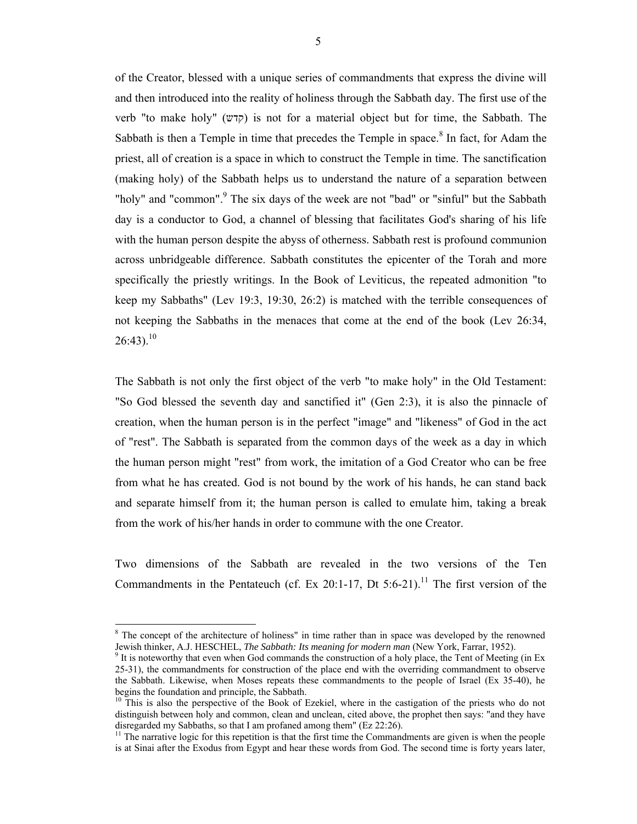of the Creator, blessed with a unique series of commandments that express the divine will and then introduced into the reality of holiness through the Sabbath day. The first use of the verb "to make holy" (קדש) is not for a material object but for time, the Sabbath. The Sabbath is then a Temple in time that precedes the Temple in space.<sup>8</sup> In fact, for Adam the priest, all of creation is a space in which to construct the Temple in time. The sanctification (making holy) of the Sabbath helps us to understand the nature of a separation between "holy" and "common".<sup>9</sup> The six days of the week are not "bad" or "sinful" but the Sabbath day is a conductor to God, a channel of blessing that facilitates God's sharing of his life with the human person despite the abyss of otherness. Sabbath rest is profound communion across unbridgeable difference. Sabbath constitutes the epicenter of the Torah and more specifically the priestly writings. In the Book of Leviticus, the repeated admonition "to keep my Sabbaths" (Lev 19:3, 19:30, 26:2) is matched with the terrible consequences of not keeping the Sabbaths in the menaces that come at the end of the book (Lev 26:34,  $26:43$ ).<sup>10</sup>

The Sabbath is not only the first object of the verb "to make holy" in the Old Testament: "So God blessed the seventh day and sanctified it" (Gen 2:3), it is also the pinnacle of creation, when the human person is in the perfect "image" and "likeness" of God in the act of "rest". The Sabbath is separated from the common days of the week as a day in which the human person might "rest" from work, the imitation of a God Creator who can be free from what he has created. God is not bound by the work of his hands, he can stand back and separate himself from it; the human person is called to emulate him, taking a break from the work of his/her hands in order to commune with the one Creator.

Two dimensions of the Sabbath are revealed in the two versions of the Ten Commandments in the Pentateuch (cf. Ex 20:1-17, Dt 5:6-21).<sup>11</sup> The first version of the

<sup>&</sup>lt;sup>8</sup> The concept of the architecture of holiness" in time rather than in space was developed by the renowned Jewish thinker, A.J. HESCHEL, *The Sabbath: Its meaning for modern man* (New York, Farrar, 1952).

 $9$  It is noteworthy that even when God commands the construction of a holy place, the Tent of Meeting (in Ex 25-31), the commandments for construction of the place end with the overriding commandment to observe the Sabbath. Likewise, when Moses repeats these commandments to the people of Israel (Ex 35-40), he begins the foundation and principle, the Sabbath.

 $10$  This is also the perspective of the Book of Ezekiel, where in the castigation of the priests who do not distinguish between holy and common, clean and unclean, cited above, the prophet then says: "and they have disregarded my Sabbaths, so that I am profaned among them" (Ez 22:26).

 $11$  The narrative logic for this repetition is that the first time the Commandments are given is when the people is at Sinai after the Exodus from Egypt and hear these words from God. The second time is forty years later,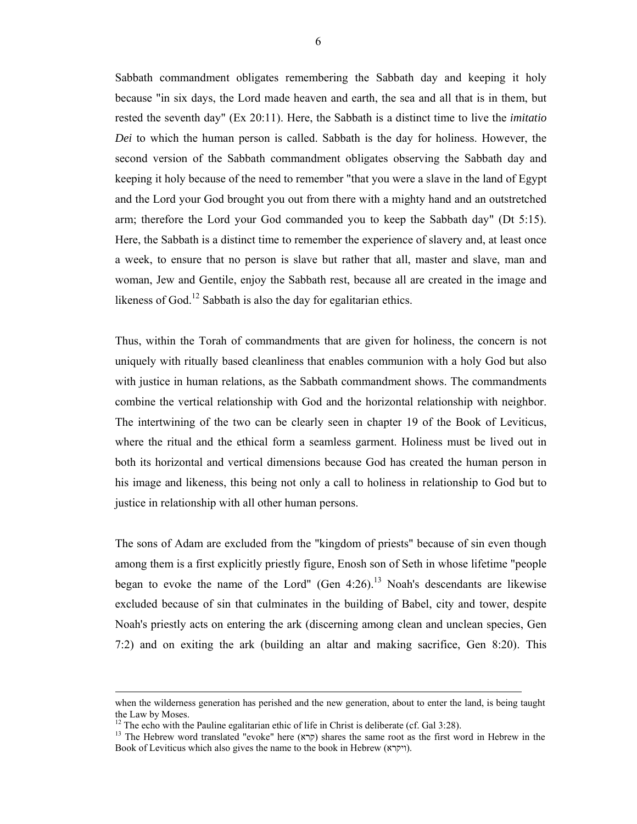Sabbath commandment obligates remembering the Sabbath day and keeping it holy because "in six days, the Lord made heaven and earth, the sea and all that is in them, but rested the seventh day" (Ex 20:11). Here, the Sabbath is a distinct time to live the *imitatio Dei* to which the human person is called. Sabbath is the day for holiness. However, the second version of the Sabbath commandment obligates observing the Sabbath day and keeping it holy because of the need to remember "that you were a slave in the land of Egypt and the Lord your God brought you out from there with a mighty hand and an outstretched arm; therefore the Lord your God commanded you to keep the Sabbath day" (Dt 5:15). Here, the Sabbath is a distinct time to remember the experience of slavery and, at least once a week, to ensure that no person is slave but rather that all, master and slave, man and woman, Jew and Gentile, enjoy the Sabbath rest, because all are created in the image and likeness of God.<sup>12</sup> Sabbath is also the day for egalitarian ethics.

Thus, within the Torah of commandments that are given for holiness, the concern is not uniquely with ritually based cleanliness that enables communion with a holy God but also with justice in human relations, as the Sabbath commandment shows. The commandments combine the vertical relationship with God and the horizontal relationship with neighbor. The intertwining of the two can be clearly seen in chapter 19 of the Book of Leviticus, where the ritual and the ethical form a seamless garment. Holiness must be lived out in both its horizontal and vertical dimensions because God has created the human person in his image and likeness, this being not only a call to holiness in relationship to God but to justice in relationship with all other human persons.

The sons of Adam are excluded from the "kingdom of priests" because of sin even though among them is a first explicitly priestly figure, Enosh son of Seth in whose lifetime "people began to evoke the name of the Lord" (Gen  $4:26$ ).<sup>13</sup> Noah's descendants are likewise excluded because of sin that culminates in the building of Babel, city and tower, despite Noah's priestly acts on entering the ark (discerning among clean and unclean species, Gen 7:2) and on exiting the ark (building an altar and making sacrifice, Gen 8:20). This

when the wilderness generation has perished and the new generation, about to enter the land, is being taught the Law by Moses.

 $12$  The echo with the Pauline egalitarian ethic of life in Christ is deliberate (cf. Gal 3:28).

<sup>&</sup>lt;sup>13</sup> The Hebrew word translated "evoke" here (קרא) shares the same root as the first word in Hebrew in the Book of Leviticus which also gives the name to the book in Hebrew (ויקרא).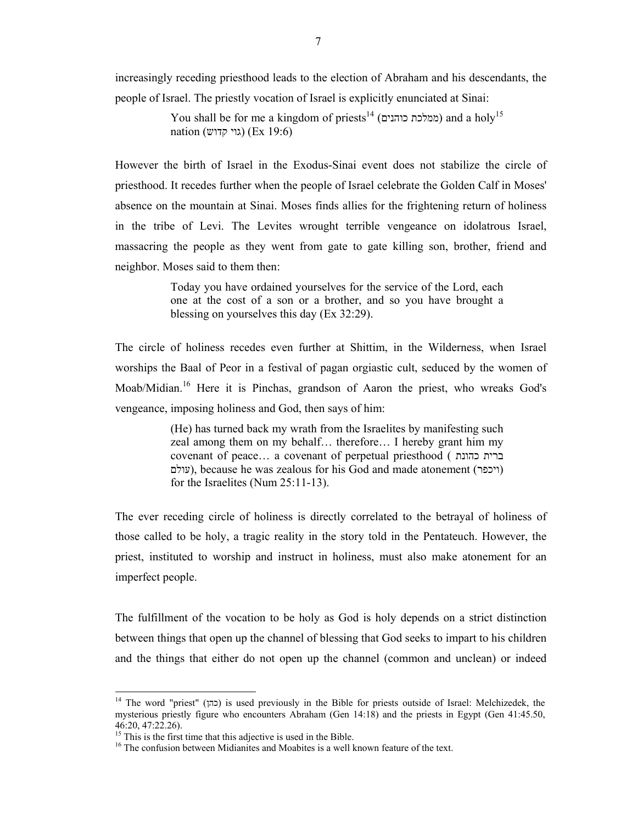increasingly receding priesthood leads to the election of Abraham and his descendants, the people of Israel. The priestly vocation of Israel is explicitly enunciated at Sinai:

> You shall be for me a kingdom of priests<sup>14</sup> (ממלכת כוהנים) and a holy<sup>15</sup> nation (גוי קדוש) (Ex 19:6)

However the birth of Israel in the Exodus-Sinai event does not stabilize the circle of priesthood. It recedes further when the people of Israel celebrate the Golden Calf in Moses' absence on the mountain at Sinai. Moses finds allies for the frightening return of holiness in the tribe of Levi. The Levites wrought terrible vengeance on idolatrous Israel, massacring the people as they went from gate to gate killing son, brother, friend and neighbor. Moses said to them then:

> Today you have ordained yourselves for the service of the Lord, each one at the cost of a son or a brother, and so you have brought a blessing on yourselves this day (Ex 32:29).

The circle of holiness recedes even further at Shittim, in the Wilderness, when Israel worships the Baal of Peor in a festival of pagan orgiastic cult, seduced by the women of Moab/Midian.16 Here it is Pinchas, grandson of Aaron the priest, who wreaks God's vengeance, imposing holiness and God, then says of him:

> (He) has turned back my wrath from the Israelites by manifesting such zeal among them on my behalf… therefore… I hereby grant him my covenant of peace… a covenant of perpetual priesthood ( כהונת ברית עולם), because he was zealous for his God and made atonement (ויכפר) for the Israelites (Num 25:11-13).

The ever receding circle of holiness is directly correlated to the betrayal of holiness of those called to be holy, a tragic reality in the story told in the Pentateuch. However, the priest, instituted to worship and instruct in holiness, must also make atonement for an imperfect people.

The fulfillment of the vocation to be holy as God is holy depends on a strict distinction between things that open up the channel of blessing that God seeks to impart to his children and the things that either do not open up the channel (common and unclean) or indeed

<sup>&</sup>lt;sup>14</sup> The word "priest" (כהן) is used previously in the Bible for priests outside of Israel: Melchizedek, the mysterious priestly figure who encounters Abraham (Gen 14:18) and the priests in Egypt (Gen 41:45.50, 46:20, 47:22.26).

<sup>&</sup>lt;sup>15</sup> This is the first time that this adjective is used in the Bible.

<sup>&</sup>lt;sup>16</sup> The confusion between Midianites and Moabites is a well known feature of the text.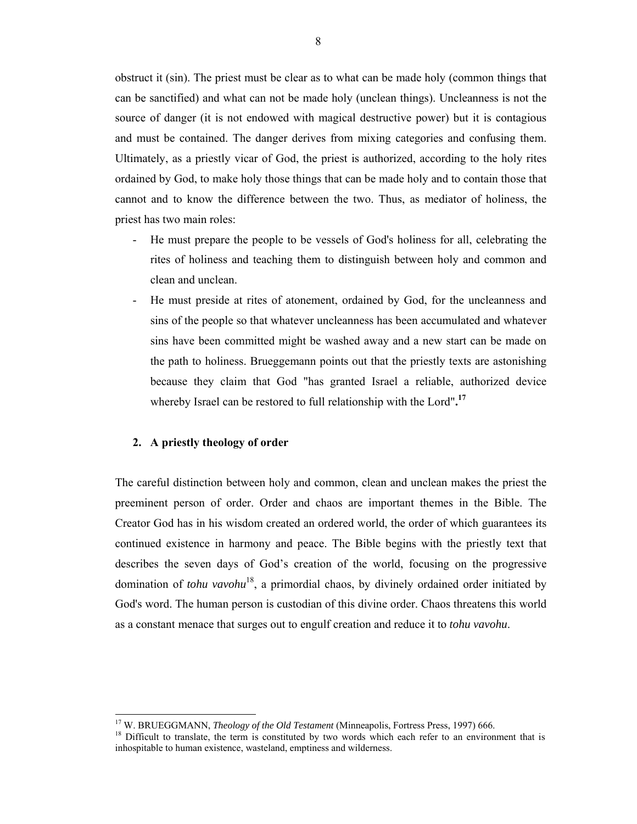obstruct it (sin). The priest must be clear as to what can be made holy (common things that can be sanctified) and what can not be made holy (unclean things). Uncleanness is not the source of danger (it is not endowed with magical destructive power) but it is contagious and must be contained. The danger derives from mixing categories and confusing them. Ultimately, as a priestly vicar of God, the priest is authorized, according to the holy rites ordained by God, to make holy those things that can be made holy and to contain those that cannot and to know the difference between the two. Thus, as mediator of holiness, the priest has two main roles:

- He must prepare the people to be vessels of God's holiness for all, celebrating the rites of holiness and teaching them to distinguish between holy and common and clean and unclean.
- He must preside at rites of atonement, ordained by God, for the uncleanness and sins of the people so that whatever uncleanness has been accumulated and whatever sins have been committed might be washed away and a new start can be made on the path to holiness. Brueggemann points out that the priestly texts are astonishing because they claim that God "has granted Israel a reliable, authorized device whereby Israel can be restored to full relationship with the Lord"**. 17**

#### **2. A priestly theology of order**

 $\overline{a}$ 

The careful distinction between holy and common, clean and unclean makes the priest the preeminent person of order. Order and chaos are important themes in the Bible. The Creator God has in his wisdom created an ordered world, the order of which guarantees its continued existence in harmony and peace. The Bible begins with the priestly text that describes the seven days of God's creation of the world, focusing on the progressive domination of *tohu vavohu*<sup>18</sup>, a primordial chaos, by divinely ordained order initiated by God's word. The human person is custodian of this divine order. Chaos threatens this world as a constant menace that surges out to engulf creation and reduce it to *tohu vavohu*.

<sup>&</sup>lt;sup>17</sup> W. BRUEGGMANN, *Theology of the Old Testament* (Minneapolis, Fortress Press, 1997) 666.<br><sup>18</sup> Difficult to translate, the term is constituted by two words which each refer to an environment that is

inhospitable to human existence, wasteland, emptiness and wilderness.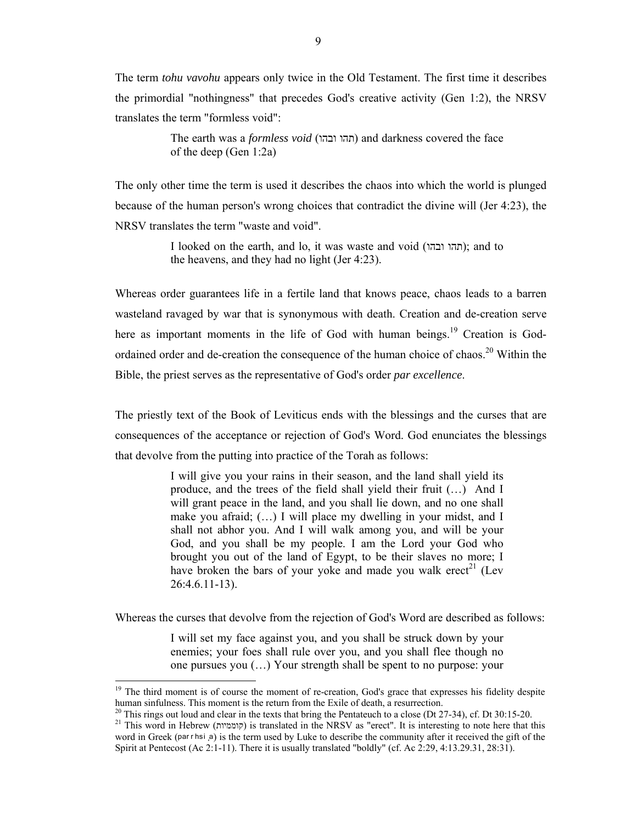The term *tohu vavohu* appears only twice in the Old Testament. The first time it describes the primordial "nothingness" that precedes God's creative activity (Gen 1:2), the NRSV translates the term "formless void":

> The earth was a *formless void* (ובהו תהו (and darkness covered the face of the deep (Gen 1:2a)

The only other time the term is used it describes the chaos into which the world is plunged because of the human person's wrong choices that contradict the divine will (Jer 4:23), the NRSV translates the term "waste and void".

> I looked on the earth, and lo, it was waste and void (תהו ובהו); and to the heavens, and they had no light (Jer 4:23).

Whereas order guarantees life in a fertile land that knows peace, chaos leads to a barren wasteland ravaged by war that is synonymous with death. Creation and de-creation serve here as important moments in the life of God with human beings.<sup>19</sup> Creation is Godordained order and de-creation the consequence of the human choice of chaos.<sup>20</sup> Within the Bible, the priest serves as the representative of God's order *par excellence*.

The priestly text of the Book of Leviticus ends with the blessings and the curses that are consequences of the acceptance or rejection of God's Word. God enunciates the blessings that devolve from the putting into practice of the Torah as follows:

> I will give you your rains in their season, and the land shall yield its produce, and the trees of the field shall yield their fruit (…) And I will grant peace in the land, and you shall lie down, and no one shall make you afraid; (…) I will place my dwelling in your midst, and I shall not abhor you. And I will walk among you, and will be your God, and you shall be my people. I am the Lord your God who brought you out of the land of Egypt, to be their slaves no more; I have broken the bars of your yoke and made you walk erect<sup>21</sup> (Lev 26:4.6.11-13).

Whereas the curses that devolve from the rejection of God's Word are described as follows:

I will set my face against you, and you shall be struck down by your enemies; your foes shall rule over you, and you shall flee though no one pursues you (…) Your strength shall be spent to no purpose: your

<sup>&</sup>lt;sup>19</sup> The third moment is of course the moment of re-creation, God's grace that expresses his fidelity despite human sinfulness. This moment is the return from the Exile of death, a resurrection.

 $20$  This rings out loud and clear in the texts that bring the Pentateuch to a close (Dt 27-34), cf. Dt 30:15-20.

<sup>21</sup> This word in Hebrew (קוממיות (is translated in the NRSV as "erect". It is interesting to note here that this word in Greek (par r hsi a) is the term used by Luke to describe the community after it received the gift of the Spirit at Pentecost (Ac 2:1-11). There it is usually translated "boldly" (cf. Ac 2:29, 4:13.29.31, 28:31).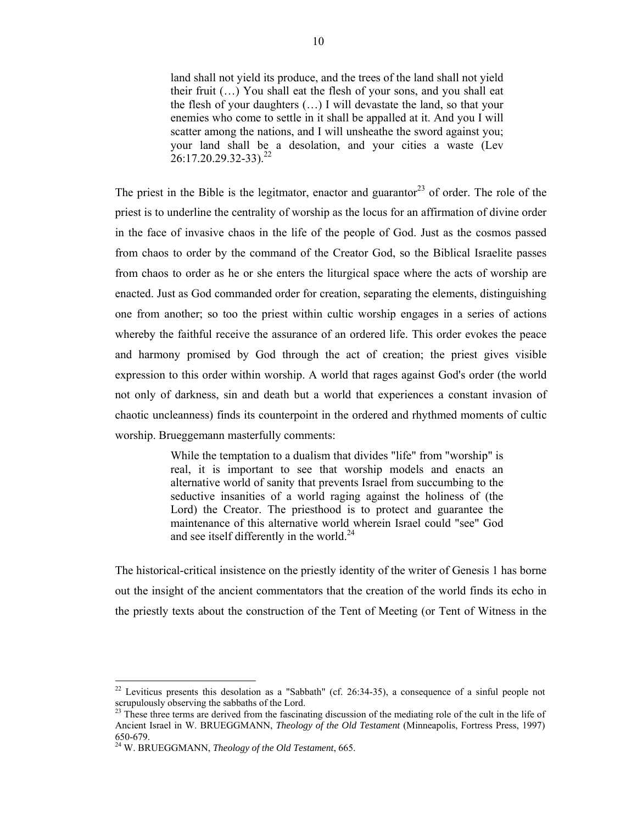land shall not yield its produce, and the trees of the land shall not yield their fruit (…) You shall eat the flesh of your sons, and you shall eat the flesh of your daughters (…) I will devastate the land, so that your enemies who come to settle in it shall be appalled at it. And you I will scatter among the nations, and I will unsheathe the sword against you; your land shall be a desolation, and your cities a waste (Lev  $26:17.20.29.32-33$ <sup>22</sup>

The priest in the Bible is the legitmator, enactor and guarantor<sup>23</sup> of order. The role of the priest is to underline the centrality of worship as the locus for an affirmation of divine order in the face of invasive chaos in the life of the people of God. Just as the cosmos passed from chaos to order by the command of the Creator God, so the Biblical Israelite passes from chaos to order as he or she enters the liturgical space where the acts of worship are enacted. Just as God commanded order for creation, separating the elements, distinguishing one from another; so too the priest within cultic worship engages in a series of actions whereby the faithful receive the assurance of an ordered life. This order evokes the peace and harmony promised by God through the act of creation; the priest gives visible expression to this order within worship. A world that rages against God's order (the world not only of darkness, sin and death but a world that experiences a constant invasion of chaotic uncleanness) finds its counterpoint in the ordered and rhythmed moments of cultic worship. Brueggemann masterfully comments:

> While the temptation to a dualism that divides "life" from "worship" is real, it is important to see that worship models and enacts an alternative world of sanity that prevents Israel from succumbing to the seductive insanities of a world raging against the holiness of (the Lord) the Creator. The priesthood is to protect and guarantee the maintenance of this alternative world wherein Israel could "see" God and see itself differently in the world. $^{24}$

The historical-critical insistence on the priestly identity of the writer of Genesis 1 has borne out the insight of the ancient commentators that the creation of the world finds its echo in the priestly texts about the construction of the Tent of Meeting (or Tent of Witness in the

 $22$  Leviticus presents this desolation as a "Sabbath" (cf. 26:34-35), a consequence of a sinful people not scrupulously observing the sabbaths of the Lord.

<sup>&</sup>lt;sup>23</sup> These three terms are derived from the fascinating discussion of the mediating role of the cult in the life of Ancient Israel in W. BRUEGGMANN, *Theology of the Old Testament* (Minneapolis, Fortress Press, 1997) 650-679.

<sup>24</sup> W. BRUEGGMANN, *Theology of the Old Testament*, 665.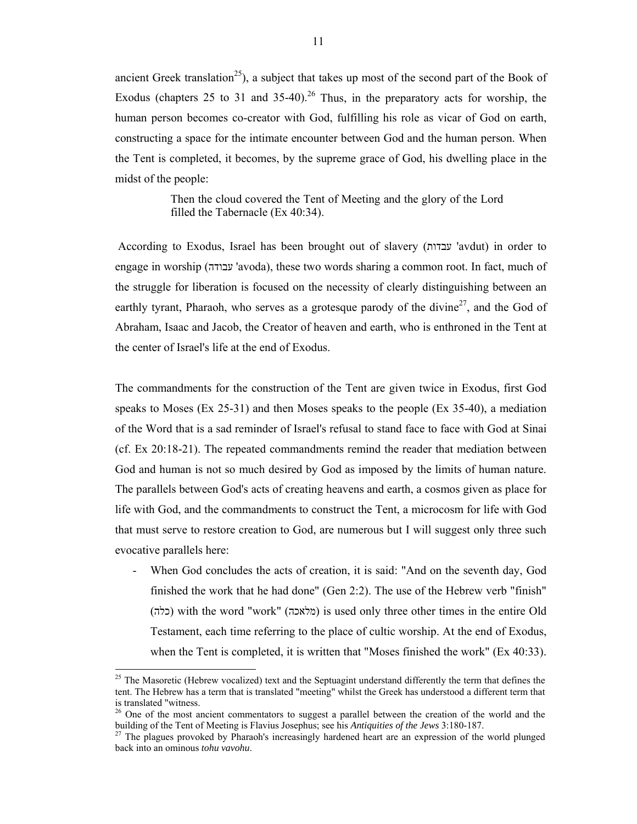ancient Greek translation<sup>25</sup>), a subject that takes up most of the second part of the Book of Exodus (chapters 25 to 31 and 35-40).<sup>26</sup> Thus, in the preparatory acts for worship, the human person becomes co-creator with God, fulfilling his role as vicar of God on earth, constructing a space for the intimate encounter between God and the human person. When the Tent is completed, it becomes, by the supreme grace of God, his dwelling place in the midst of the people:

> Then the cloud covered the Tent of Meeting and the glory of the Lord filled the Tabernacle (Ex 40:34).

 According to Exodus, Israel has been brought out of slavery (עבדות' avdut) in order to engage in worship (עבודה' avoda), these two words sharing a common root. In fact, much of the struggle for liberation is focused on the necessity of clearly distinguishing between an earthly tyrant, Pharaoh, who serves as a grotesque parody of the divine<sup>27</sup>, and the God of Abraham, Isaac and Jacob, the Creator of heaven and earth, who is enthroned in the Tent at the center of Israel's life at the end of Exodus.

The commandments for the construction of the Tent are given twice in Exodus, first God speaks to Moses (Ex 25-31) and then Moses speaks to the people (Ex 35-40), a mediation of the Word that is a sad reminder of Israel's refusal to stand face to face with God at Sinai (cf. Ex 20:18-21). The repeated commandments remind the reader that mediation between God and human is not so much desired by God as imposed by the limits of human nature. The parallels between God's acts of creating heavens and earth, a cosmos given as place for life with God, and the commandments to construct the Tent, a microcosm for life with God that must serve to restore creation to God, are numerous but I will suggest only three such evocative parallels here:

When God concludes the acts of creation, it is said: "And on the seventh day, God finished the work that he had done" (Gen 2:2). The use of the Hebrew verb "finish" (כלה (with the word "work" (מלאכה (is used only three other times in the entire Old Testament, each time referring to the place of cultic worship. At the end of Exodus, when the Tent is completed, it is written that "Moses finished the work" (Ex 40:33).

<sup>&</sup>lt;sup>25</sup> The Masoretic (Hebrew vocalized) text and the Septuagint understand differently the term that defines the tent. The Hebrew has a term that is translated "meeting" whilst the Greek has understood a different term that is translated "witness.

<sup>&</sup>lt;sup>26</sup> One of the most ancient commentators to suggest a parallel between the creation of the world and the building of the Tent of Meeting is Flavius Josephus; see his *Antiquities of the Jews* 3:180-187.

<sup>&</sup>lt;sup>27</sup> The plagues provoked by Pharaoh's increasingly hardened heart are an expression of the world plunged back into an ominous *tohu vavohu*.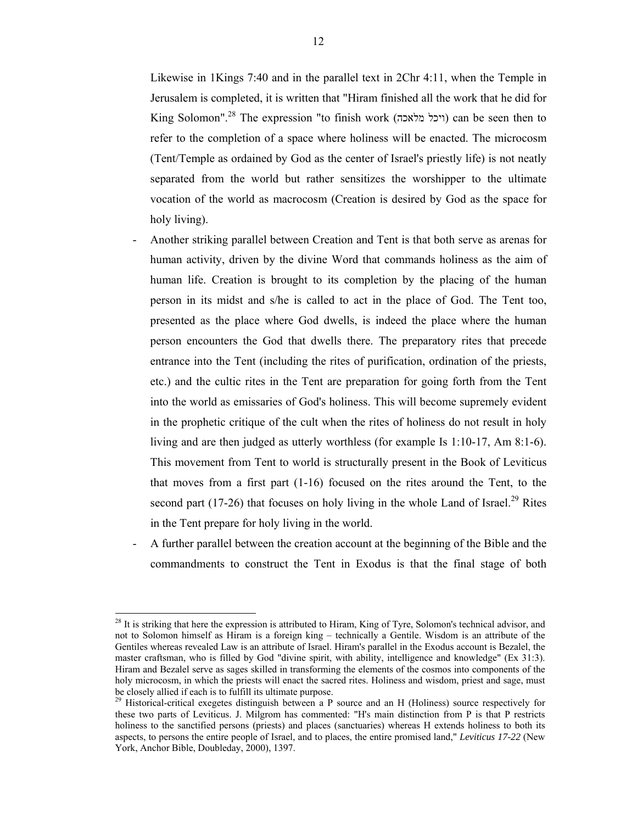Likewise in 1Kings 7:40 and in the parallel text in 2Chr 4:11, when the Temple in Jerusalem is completed, it is written that "Hiram finished all the work that he did for King Solomon".<sup>28</sup> The expression "to finish work (ויכל מלאכה) can be seen then to refer to the completion of a space where holiness will be enacted. The microcosm (Tent/Temple as ordained by God as the center of Israel's priestly life) is not neatly separated from the world but rather sensitizes the worshipper to the ultimate vocation of the world as macrocosm (Creation is desired by God as the space for holy living).

- Another striking parallel between Creation and Tent is that both serve as arenas for human activity, driven by the divine Word that commands holiness as the aim of human life. Creation is brought to its completion by the placing of the human person in its midst and s/he is called to act in the place of God. The Tent too, presented as the place where God dwells, is indeed the place where the human person encounters the God that dwells there. The preparatory rites that precede entrance into the Tent (including the rites of purification, ordination of the priests, etc.) and the cultic rites in the Tent are preparation for going forth from the Tent into the world as emissaries of God's holiness. This will become supremely evident in the prophetic critique of the cult when the rites of holiness do not result in holy living and are then judged as utterly worthless (for example Is 1:10-17, Am 8:1-6). This movement from Tent to world is structurally present in the Book of Leviticus that moves from a first part (1-16) focused on the rites around the Tent, to the second part (17-26) that focuses on holy living in the whole Land of Israel.<sup>29</sup> Rites in the Tent prepare for holy living in the world.
- A further parallel between the creation account at the beginning of the Bible and the commandments to construct the Tent in Exodus is that the final stage of both

 $^{28}$  It is striking that here the expression is attributed to Hiram, King of Tyre, Solomon's technical advisor, and not to Solomon himself as Hiram is a foreign king – technically a Gentile. Wisdom is an attribute of the Gentiles whereas revealed Law is an attribute of Israel. Hiram's parallel in the Exodus account is Bezalel, the master craftsman, who is filled by God "divine spirit, with ability, intelligence and knowledge" (Ex 31:3). Hiram and Bezalel serve as sages skilled in transforming the elements of the cosmos into components of the holy microcosm, in which the priests will enact the sacred rites. Holiness and wisdom, priest and sage, must be closely allied if each is to fulfill its ultimate purpose.

 $29$  Historical-critical exegetes distinguish between a P source and an H (Holiness) source respectively for these two parts of Leviticus. J. Milgrom has commented: "H's main distinction from P is that P restricts holiness to the sanctified persons (priests) and places (sanctuaries) whereas H extends holiness to both its aspects, to persons the entire people of Israel, and to places, the entire promised land," *Leviticus 17-22* (New York, Anchor Bible, Doubleday, 2000), 1397.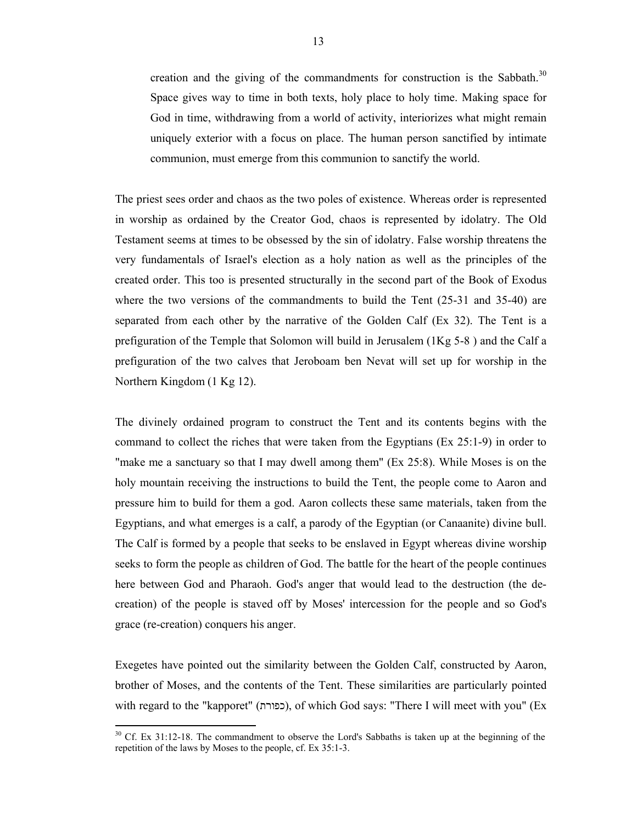creation and the giving of the commandments for construction is the Sabbath.<sup>30</sup> Space gives way to time in both texts, holy place to holy time. Making space for God in time, withdrawing from a world of activity, interiorizes what might remain uniquely exterior with a focus on place. The human person sanctified by intimate communion, must emerge from this communion to sanctify the world.

The priest sees order and chaos as the two poles of existence. Whereas order is represented in worship as ordained by the Creator God, chaos is represented by idolatry. The Old Testament seems at times to be obsessed by the sin of idolatry. False worship threatens the very fundamentals of Israel's election as a holy nation as well as the principles of the created order. This too is presented structurally in the second part of the Book of Exodus where the two versions of the commandments to build the Tent (25-31 and 35-40) are separated from each other by the narrative of the Golden Calf (Ex 32). The Tent is a prefiguration of the Temple that Solomon will build in Jerusalem (1Kg 5-8 ) and the Calf a prefiguration of the two calves that Jeroboam ben Nevat will set up for worship in the Northern Kingdom (1 Kg 12).

The divinely ordained program to construct the Tent and its contents begins with the command to collect the riches that were taken from the Egyptians (Ex 25:1-9) in order to "make me a sanctuary so that I may dwell among them" (Ex 25:8). While Moses is on the holy mountain receiving the instructions to build the Tent, the people come to Aaron and pressure him to build for them a god. Aaron collects these same materials, taken from the Egyptians, and what emerges is a calf, a parody of the Egyptian (or Canaanite) divine bull. The Calf is formed by a people that seeks to be enslaved in Egypt whereas divine worship seeks to form the people as children of God. The battle for the heart of the people continues here between God and Pharaoh. God's anger that would lead to the destruction (the decreation) of the people is staved off by Moses' intercession for the people and so God's grace (re-creation) conquers his anger.

Exegetes have pointed out the similarity between the Golden Calf, constructed by Aaron, brother of Moses, and the contents of the Tent. These similarities are particularly pointed with regard to the "kapporet" (כפורת), of which God says: "There I will meet with you" (Ex

 $30^{\circ}$  Cf. Ex 31:12-18. The commandment to observe the Lord's Sabbaths is taken up at the beginning of the repetition of the laws by Moses to the people, cf. Ex 35:1-3.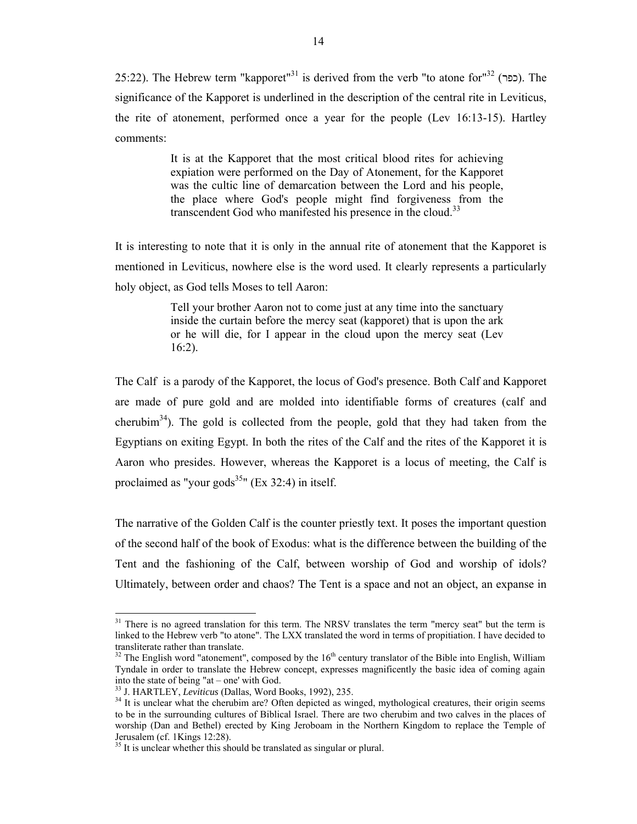25:22). The Hebrew term "kapporet"<sup>31</sup> is derived from the verb "to atone for"<sup>32</sup> (כפר). The significance of the Kapporet is underlined in the description of the central rite in Leviticus, the rite of atonement, performed once a year for the people (Lev 16:13-15). Hartley comments:

> It is at the Kapporet that the most critical blood rites for achieving expiation were performed on the Day of Atonement, for the Kapporet was the cultic line of demarcation between the Lord and his people, the place where God's people might find forgiveness from the transcendent God who manifested his presence in the cloud.<sup>33</sup>

It is interesting to note that it is only in the annual rite of atonement that the Kapporet is mentioned in Leviticus, nowhere else is the word used. It clearly represents a particularly holy object, as God tells Moses to tell Aaron:

> Tell your brother Aaron not to come just at any time into the sanctuary inside the curtain before the mercy seat (kapporet) that is upon the ark or he will die, for I appear in the cloud upon the mercy seat (Lev 16:2).

The Calf is a parody of the Kapporet, the locus of God's presence. Both Calf and Kapporet are made of pure gold and are molded into identifiable forms of creatures (calf and cherubim<sup>34</sup>). The gold is collected from the people, gold that they had taken from the Egyptians on exiting Egypt. In both the rites of the Calf and the rites of the Kapporet it is Aaron who presides. However, whereas the Kapporet is a locus of meeting, the Calf is proclaimed as "your gods<sup>35</sup>" (Ex 32:4) in itself.

The narrative of the Golden Calf is the counter priestly text. It poses the important question of the second half of the book of Exodus: what is the difference between the building of the Tent and the fashioning of the Calf, between worship of God and worship of idols? Ultimately, between order and chaos? The Tent is a space and not an object, an expanse in

 $31$  There is no agreed translation for this term. The NRSV translates the term "mercy seat" but the term is linked to the Hebrew verb "to atone". The LXX translated the word in terms of propitiation. I have decided to transliterate rather than translate.

 $32$  The English word "atonement", composed by the 16<sup>th</sup> century translator of the Bible into English, William Tyndale in order to translate the Hebrew concept, expresses magnificently the basic idea of coming again into the state of being "at – one' with God.<br> $33$  J. HARTLEY, *Leviticus* (Dallas, Word Books, 1992), 235.

<sup>&</sup>lt;sup>34</sup> It is unclear what the cherubim are? Often depicted as winged, mythological creatures, their origin seems to be in the surrounding cultures of Biblical Israel. There are two cherubim and two calves in the places of worship (Dan and Bethel) erected by King Jeroboam in the Northern Kingdom to replace the Temple of Jerusalem (cf. 1Kings 12:28).

<sup>&</sup>lt;sup>35</sup> It is unclear whether this should be translated as singular or plural.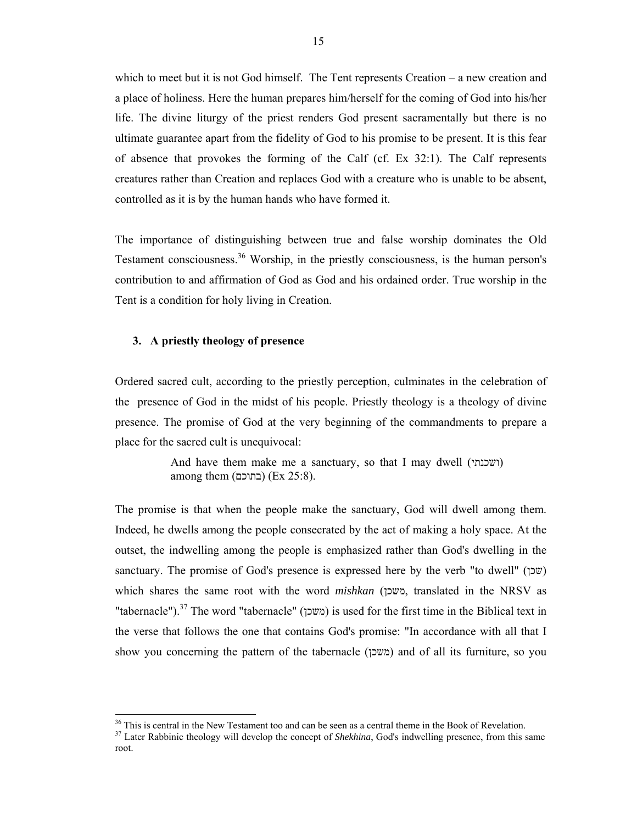which to meet but it is not God himself. The Tent represents Creation – a new creation and a place of holiness. Here the human prepares him/herself for the coming of God into his/her life. The divine liturgy of the priest renders God present sacramentally but there is no ultimate guarantee apart from the fidelity of God to his promise to be present. It is this fear of absence that provokes the forming of the Calf (cf. Ex 32:1). The Calf represents creatures rather than Creation and replaces God with a creature who is unable to be absent, controlled as it is by the human hands who have formed it.

The importance of distinguishing between true and false worship dominates the Old Testament consciousness.<sup>36</sup> Worship, in the priestly consciousness, is the human person's contribution to and affirmation of God as God and his ordained order. True worship in the Tent is a condition for holy living in Creation.

#### **3. A priestly theology of presence**

 $\overline{a}$ 

Ordered sacred cult, according to the priestly perception, culminates in the celebration of the presence of God in the midst of his people. Priestly theology is a theology of divine presence. The promise of God at the very beginning of the commandments to prepare a place for the sacred cult is unequivocal:

> And have them make me a sanctuary, so that I may dwell (ושכנתי ( among them (בתוכם) (Ex 25:8).

The promise is that when the people make the sanctuary, God will dwell among them. Indeed, he dwells among the people consecrated by the act of making a holy space. At the outset, the indwelling among the people is emphasized rather than God's dwelling in the sanctuary. The promise of God's presence is expressed here by the verb "to dwell" (שכן (שכן (שכן ( $\alpha$ which shares the same root with the word *mishkan* (משכן, translated in the NRSV as "tabernacle").<sup>37</sup> The word "tabernacle" (משכן) is used for the first time in the Biblical text in the verse that follows the one that contains God's promise: "In accordance with all that I show you concerning the pattern of the tabernacle (משכן) and of all its furniture, so you

<sup>&</sup>lt;sup>36</sup> This is central in the New Testament too and can be seen as a central theme in the Book of Revelation.

<sup>&</sup>lt;sup>37</sup> Later Rabbinic theology will develop the concept of *Shekhina*, God's indwelling presence, from this same root.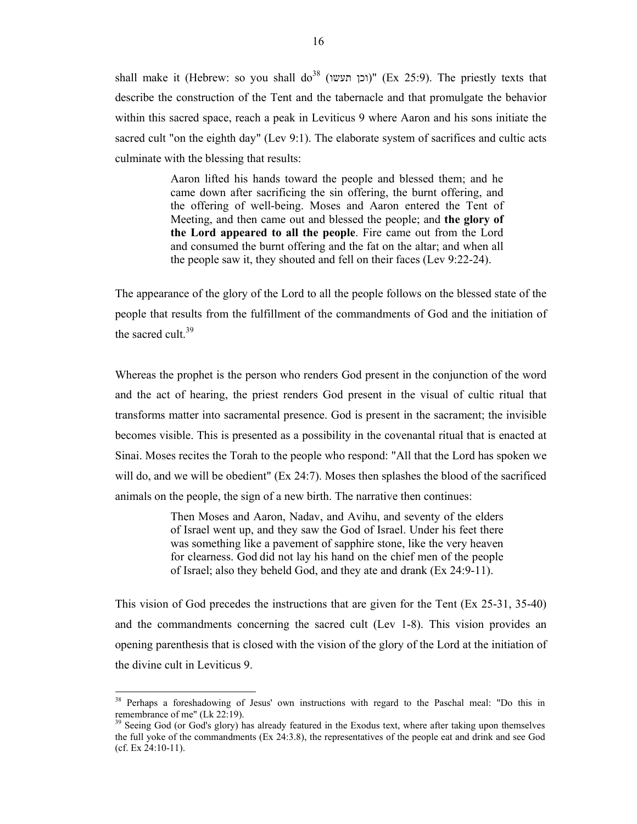shall make it (Hebrew: so you shall do<sup>38</sup> (וכן תעשו)" (Ex 25:9). The priestly texts that describe the construction of the Tent and the tabernacle and that promulgate the behavior within this sacred space, reach a peak in Leviticus 9 where Aaron and his sons initiate the sacred cult "on the eighth day" (Lev 9:1). The elaborate system of sacrifices and cultic acts culminate with the blessing that results:

> Aaron lifted his hands toward the people and blessed them; and he came down after sacrificing the sin offering, the burnt offering, and the offering of well-being. Moses and Aaron entered the Tent of Meeting, and then came out and blessed the people; and **the glory of the Lord appeared to all the people**. Fire came out from the Lord and consumed the burnt offering and the fat on the altar; and when all the people saw it, they shouted and fell on their faces (Lev 9:22-24).

The appearance of the glory of the Lord to all the people follows on the blessed state of the people that results from the fulfillment of the commandments of God and the initiation of the sacred cult. $39$ 

Whereas the prophet is the person who renders God present in the conjunction of the word and the act of hearing, the priest renders God present in the visual of cultic ritual that transforms matter into sacramental presence. God is present in the sacrament; the invisible becomes visible. This is presented as a possibility in the covenantal ritual that is enacted at Sinai. Moses recites the Torah to the people who respond: "All that the Lord has spoken we will do, and we will be obedient"  $(Ex 24:7)$ . Moses then splashes the blood of the sacrificed animals on the people, the sign of a new birth. The narrative then continues:

> Then Moses and Aaron, Nadav, and Avihu, and seventy of the elders of Israel went up, and they saw the God of Israel. Under his feet there was something like a pavement of sapphire stone, like the very heaven for clearness. God did not lay his hand on the chief men of the people of Israel; also they beheld God, and they ate and drank (Ex 24:9-11).

This vision of God precedes the instructions that are given for the Tent (Ex 25-31, 35-40) and the commandments concerning the sacred cult (Lev 1-8). This vision provides an opening parenthesis that is closed with the vision of the glory of the Lord at the initiation of the divine cult in Leviticus 9.

<sup>&</sup>lt;sup>38</sup> Perhaps a foreshadowing of Jesus' own instructions with regard to the Paschal meal: "Do this in remembrance of me" (Lk 22:19).

Seeing God (or God's glory) has already featured in the Exodus text, where after taking upon themselves the full yoke of the commandments (Ex 24:3.8), the representatives of the people eat and drink and see God (cf. Ex 24:10-11).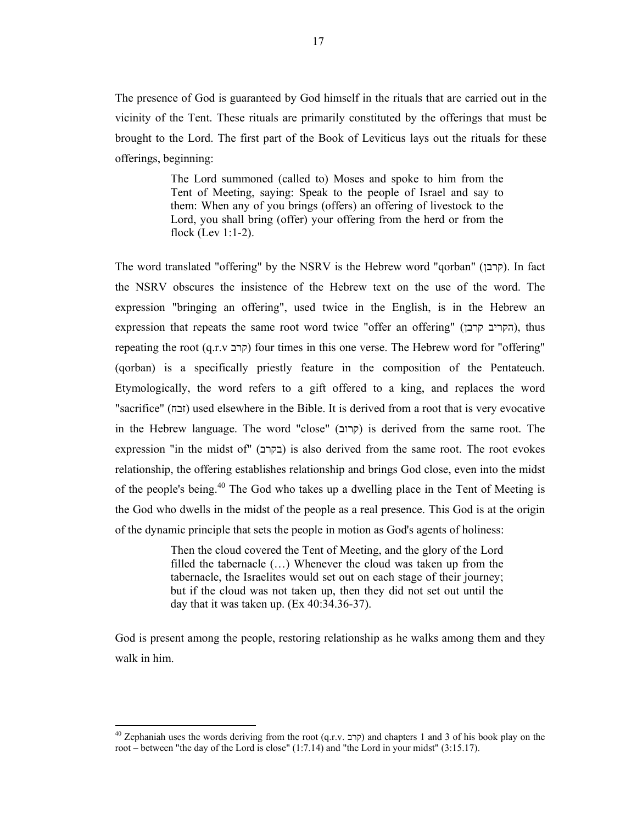The presence of God is guaranteed by God himself in the rituals that are carried out in the vicinity of the Tent. These rituals are primarily constituted by the offerings that must be brought to the Lord. The first part of the Book of Leviticus lays out the rituals for these offerings, beginning:

> The Lord summoned (called to) Moses and spoke to him from the Tent of Meeting, saying: Speak to the people of Israel and say to them: When any of you brings (offers) an offering of livestock to the Lord, you shall bring (offer) your offering from the herd or from the flock (Lev 1:1-2).

The word translated "offering" by the NSRV is the Hebrew word "qorban" (קרבן). In fact the NSRV obscures the insistence of the Hebrew text on the use of the word. The expression "bringing an offering", used twice in the English, is in the Hebrew an expression that repeats the same root word twice "offer an offering" (הקריב קרבן), thus repeating the root (קרב (קרב) four times in this one verse. The Hebrew word for "offering" (qorban) is a specifically priestly feature in the composition of the Pentateuch. Etymologically, the word refers to a gift offered to a king, and replaces the word "sacrifice" (זבח) used elsewhere in the Bible. It is derived from a root that is very evocative in the Hebrew language. The word "close" (קרוב) is derived from the same root. The expression "in the midst of" (בקרב) is also derived from the same root. The root evokes relationship, the offering establishes relationship and brings God close, even into the midst of the people's being.<sup>40</sup> The God who takes up a dwelling place in the Tent of Meeting is the God who dwells in the midst of the people as a real presence. This God is at the origin of the dynamic principle that sets the people in motion as God's agents of holiness:

> Then the cloud covered the Tent of Meeting, and the glory of the Lord filled the tabernacle (…) Whenever the cloud was taken up from the tabernacle, the Israelites would set out on each stage of their journey; but if the cloud was not taken up, then they did not set out until the day that it was taken up. (Ex 40:34.36-37).

God is present among the people, restoring relationship as he walks among them and they walk in him.

<sup>&</sup>lt;sup>40</sup> Zephaniah uses the words deriving from the root (q.r.v. קרב) and chapters 1 and 3 of his book play on the root – between "the day of the Lord is close" (1:7.14) and "the Lord in your midst" (3:15.17).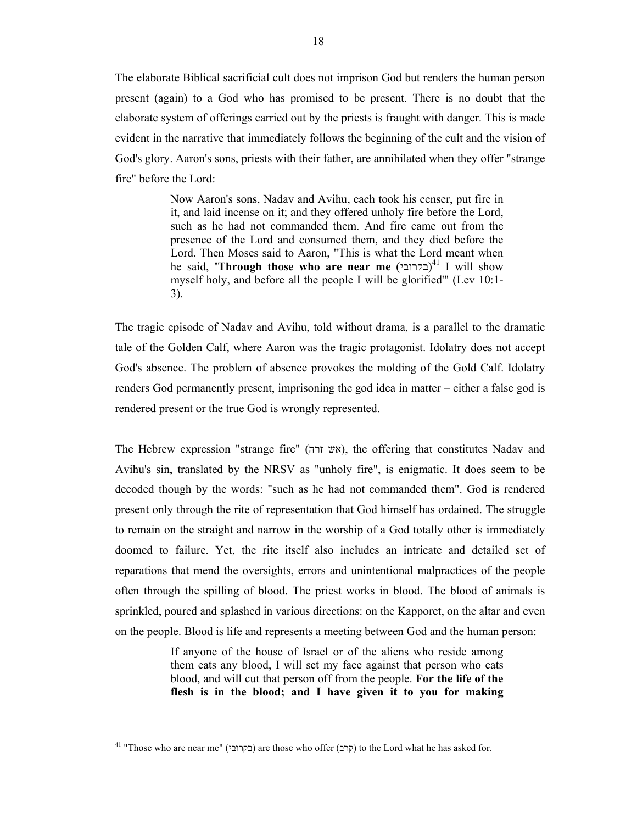The elaborate Biblical sacrificial cult does not imprison God but renders the human person present (again) to a God who has promised to be present. There is no doubt that the elaborate system of offerings carried out by the priests is fraught with danger. This is made evident in the narrative that immediately follows the beginning of the cult and the vision of God's glory. Aaron's sons, priests with their father, are annihilated when they offer "strange fire" before the Lord:

> Now Aaron's sons, Nadav and Avihu, each took his censer, put fire in it, and laid incense on it; and they offered unholy fire before the Lord, such as he had not commanded them. And fire came out from the presence of the Lord and consumed them, and they died before the Lord. Then Moses said to Aaron, "This is what the Lord meant when he said, **'Through those who are near me** (בקרובי)<sup>41</sup> I will show myself holy, and before all the people I will be glorified'" (Lev 10:1- 3).

The tragic episode of Nadav and Avihu, told without drama, is a parallel to the dramatic tale of the Golden Calf, where Aaron was the tragic protagonist. Idolatry does not accept God's absence. The problem of absence provokes the molding of the Gold Calf. Idolatry renders God permanently present, imprisoning the god idea in matter – either a false god is rendered present or the true God is wrongly represented.

The Hebrew expression "strange fire" (אש  $(x)$ , the offering that constitutes Nadav and Avihu's sin, translated by the NRSV as "unholy fire", is enigmatic. It does seem to be decoded though by the words: "such as he had not commanded them". God is rendered present only through the rite of representation that God himself has ordained. The struggle to remain on the straight and narrow in the worship of a God totally other is immediately doomed to failure. Yet, the rite itself also includes an intricate and detailed set of reparations that mend the oversights, errors and unintentional malpractices of the people often through the spilling of blood. The priest works in blood. The blood of animals is sprinkled, poured and splashed in various directions: on the Kapporet, on the altar and even on the people. Blood is life and represents a meeting between God and the human person:

> If anyone of the house of Israel or of the aliens who reside among them eats any blood, I will set my face against that person who eats blood, and will cut that person off from the people. **For the life of the flesh is in the blood; and I have given it to you for making**

<sup>&</sup>lt;sup>41</sup> "Those who are near me" (בקרובי) are those who offer (קרב) to the Lord what he has asked for.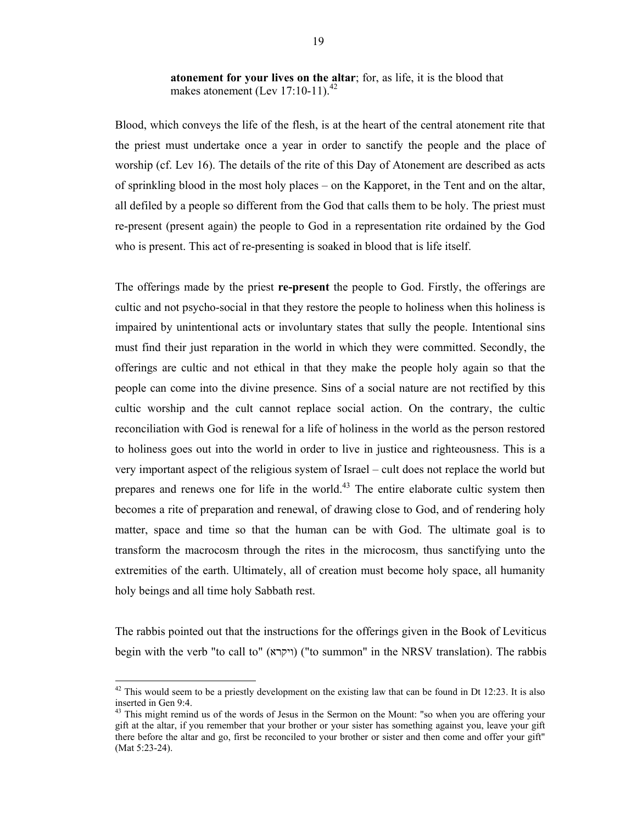Blood, which conveys the life of the flesh, is at the heart of the central atonement rite that the priest must undertake once a year in order to sanctify the people and the place of worship (cf. Lev 16). The details of the rite of this Day of Atonement are described as acts of sprinkling blood in the most holy places – on the Kapporet, in the Tent and on the altar, all defiled by a people so different from the God that calls them to be holy. The priest must re-present (present again) the people to God in a representation rite ordained by the God who is present. This act of re-presenting is soaked in blood that is life itself.

The offerings made by the priest **re-present** the people to God. Firstly, the offerings are cultic and not psycho-social in that they restore the people to holiness when this holiness is impaired by unintentional acts or involuntary states that sully the people. Intentional sins must find their just reparation in the world in which they were committed. Secondly, the offerings are cultic and not ethical in that they make the people holy again so that the people can come into the divine presence. Sins of a social nature are not rectified by this cultic worship and the cult cannot replace social action. On the contrary, the cultic reconciliation with God is renewal for a life of holiness in the world as the person restored to holiness goes out into the world in order to live in justice and righteousness. This is a very important aspect of the religious system of Israel – cult does not replace the world but prepares and renews one for life in the world.<sup>43</sup> The entire elaborate cultic system then becomes a rite of preparation and renewal, of drawing close to God, and of rendering holy matter, space and time so that the human can be with God. The ultimate goal is to transform the macrocosm through the rites in the microcosm, thus sanctifying unto the extremities of the earth. Ultimately, all of creation must become holy space, all humanity holy beings and all time holy Sabbath rest.

The rabbis pointed out that the instructions for the offerings given in the Book of Leviticus begin with the verb "to call to" (ויקרא) ("to summon" in the NRSV translation). The rabbis

 $42$  This would seem to be a priestly development on the existing law that can be found in Dt 12:23. It is also inserted in Gen 9:4.

<sup>&</sup>lt;sup>43</sup> This might remind us of the words of Jesus in the Sermon on the Mount: "so when you are offering your gift at the altar, if you remember that your brother or your sister has something against you, leave your gift there before the altar and go, first be reconciled to your brother or sister and then come and offer your gift" (Mat 5:23-24).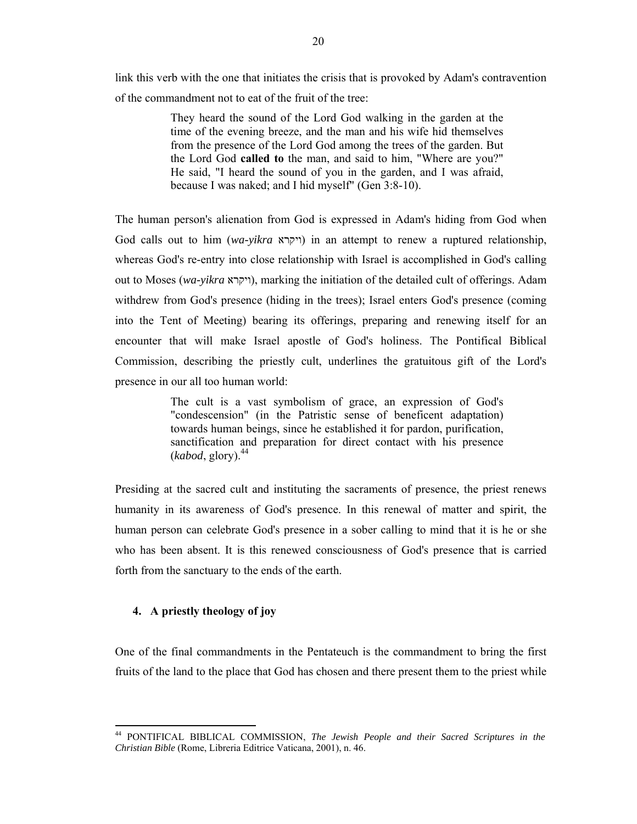link this verb with the one that initiates the crisis that is provoked by Adam's contravention of the commandment not to eat of the fruit of the tree:

> They heard the sound of the Lord God walking in the garden at the time of the evening breeze, and the man and his wife hid themselves from the presence of the Lord God among the trees of the garden. But the Lord God **called to** the man, and said to him, "Where are you?" He said, "I heard the sound of you in the garden, and I was afraid, because I was naked; and I hid myself" (Gen 3:8-10).

The human person's alienation from God is expressed in Adam's hiding from God when God calls out to him (*wa-yikra* ויקרא (in an attempt to renew a ruptured relationship, whereas God's re-entry into close relationship with Israel is accomplished in God's calling out to Moses (*wa-yikra* ויקרא), marking the initiation of the detailed cult of offerings. Adam withdrew from God's presence (hiding in the trees); Israel enters God's presence (coming into the Tent of Meeting) bearing its offerings, preparing and renewing itself for an encounter that will make Israel apostle of God's holiness. The Pontifical Biblical Commission, describing the priestly cult, underlines the gratuitous gift of the Lord's presence in our all too human world:

> The cult is a vast symbolism of grace, an expression of God's "condescension" (in the Patristic sense of beneficent adaptation) towards human beings, since he established it for pardon, purification, sanctification and preparation for direct contact with his presence  $(kabod,$  glory).<sup>44</sup>

Presiding at the sacred cult and instituting the sacraments of presence, the priest renews humanity in its awareness of God's presence. In this renewal of matter and spirit, the human person can celebrate God's presence in a sober calling to mind that it is he or she who has been absent. It is this renewed consciousness of God's presence that is carried forth from the sanctuary to the ends of the earth.

#### **4. A priestly theology of joy**

 $\overline{\phantom{a}}$ 

One of the final commandments in the Pentateuch is the commandment to bring the first fruits of the land to the place that God has chosen and there present them to the priest while

<sup>44</sup> PONTIFICAL BIBLICAL COMMISSION, *The Jewish People and their Sacred Scriptures in the Christian Bible* (Rome, Libreria Editrice Vaticana, 2001), n. 46.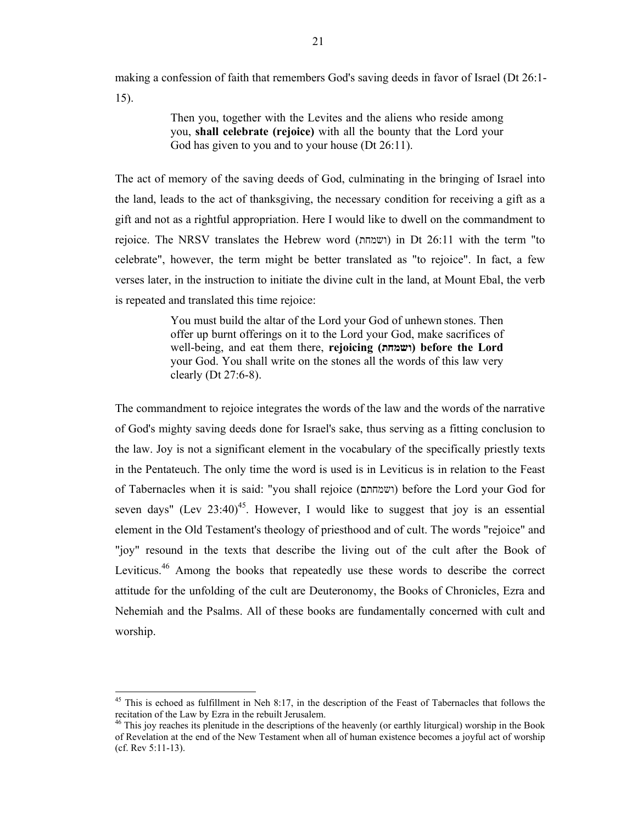making a confession of faith that remembers God's saving deeds in favor of Israel (Dt 26:1- 15).

> Then you, together with the Levites and the aliens who reside among you, **shall celebrate (rejoice)** with all the bounty that the Lord your God has given to you and to your house (Dt 26:11).

The act of memory of the saving deeds of God, culminating in the bringing of Israel into the land, leads to the act of thanksgiving, the necessary condition for receiving a gift as a gift and not as a rightful appropriation. Here I would like to dwell on the commandment to rejoice. The NRSV translates the Hebrew word (ושמחת (in Dt 26:11 with the term "to celebrate", however, the term might be better translated as "to rejoice". In fact, a few verses later, in the instruction to initiate the divine cult in the land, at Mount Ebal, the verb is repeated and translated this time rejoice:

> You must build the altar of the Lord your God of unhewn stones. Then offer up burnt offerings on it to the Lord your God, make sacrifices of well-being, and eat them there, **rejoicing (ושמחת (before the Lord** your God. You shall write on the stones all the words of this law very clearly (Dt 27:6-8).

The commandment to rejoice integrates the words of the law and the words of the narrative of God's mighty saving deeds done for Israel's sake, thus serving as a fitting conclusion to the law. Joy is not a significant element in the vocabulary of the specifically priestly texts in the Pentateuch. The only time the word is used is in Leviticus is in relation to the Feast of Tabernacles when it is said: "you shall rejoice (ושמחתם (before the Lord your God for seven days" (Lev  $23:40$ <sup>45</sup>. However, I would like to suggest that joy is an essential element in the Old Testament's theology of priesthood and of cult. The words "rejoice" and "joy" resound in the texts that describe the living out of the cult after the Book of Leviticus.<sup>46</sup> Among the books that repeatedly use these words to describe the correct attitude for the unfolding of the cult are Deuteronomy, the Books of Chronicles, Ezra and Nehemiah and the Psalms. All of these books are fundamentally concerned with cult and worship.

 $45$  This is echoed as fulfillment in Neh 8:17, in the description of the Feast of Tabernacles that follows the recitation of the Law by Ezra in the rebuilt Jerusalem.

 $\beta$  This joy reaches its plenitude in the descriptions of the heavenly (or earthly liturgical) worship in the Book of Revelation at the end of the New Testament when all of human existence becomes a joyful act of worship (cf. Rev 5:11-13).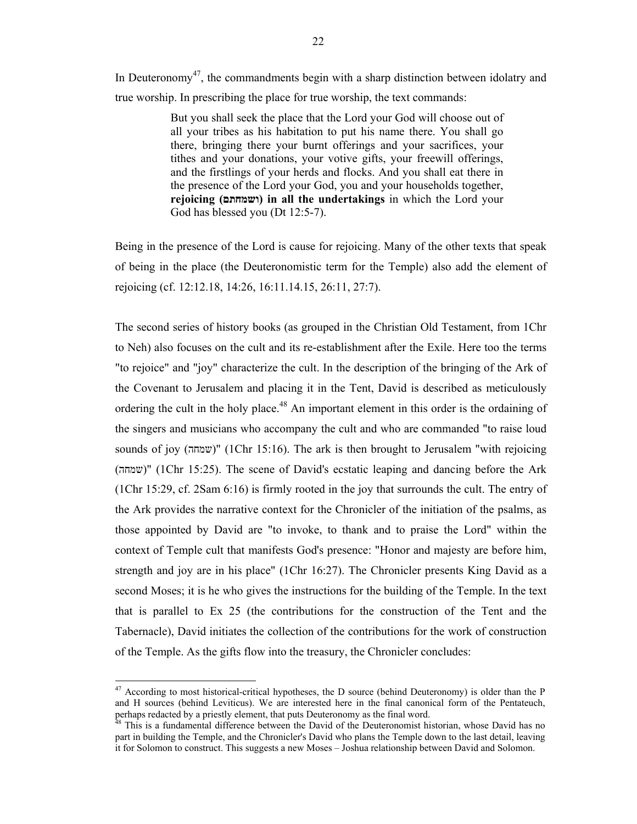In Deuteronomy<sup>47</sup>, the commandments begin with a sharp distinction between idolatry and true worship. In prescribing the place for true worship, the text commands:

> But you shall seek the place that the Lord your God will choose out of all your tribes as his habitation to put his name there. You shall go there, bringing there your burnt offerings and your sacrifices, your tithes and your donations, your votive gifts, your freewill offerings, and the firstlings of your herds and flocks. And you shall eat there in the presence of the Lord your God, you and your households together, **rejoicing (ושמחתם (in all the undertakings** in which the Lord your God has blessed you (Dt 12:5-7).

Being in the presence of the Lord is cause for rejoicing. Many of the other texts that speak of being in the place (the Deuteronomistic term for the Temple) also add the element of rejoicing (cf. 12:12.18, 14:26, 16:11.14.15, 26:11, 27:7).

The second series of history books (as grouped in the Christian Old Testament, from 1Chr to Neh) also focuses on the cult and its re-establishment after the Exile. Here too the terms "to rejoice" and "joy" characterize the cult. In the description of the bringing of the Ark of the Covenant to Jerusalem and placing it in the Tent, David is described as meticulously ordering the cult in the holy place.<sup>48</sup> An important element in this order is the ordaining of the singers and musicians who accompany the cult and who are commanded "to raise loud sounds of joy (שמחה) "(1Chr 15:16). The ark is then brought to Jerusalem "with rejoicing (שמחה) "(1Chr 15:25). The scene of David's ecstatic leaping and dancing before the Ark (1Chr 15:29, cf. 2Sam 6:16) is firmly rooted in the joy that surrounds the cult. The entry of the Ark provides the narrative context for the Chronicler of the initiation of the psalms, as those appointed by David are "to invoke, to thank and to praise the Lord" within the context of Temple cult that manifests God's presence: "Honor and majesty are before him, strength and joy are in his place" (1Chr 16:27). The Chronicler presents King David as a second Moses; it is he who gives the instructions for the building of the Temple. In the text that is parallel to Ex 25 (the contributions for the construction of the Tent and the Tabernacle), David initiates the collection of the contributions for the work of construction of the Temple. As the gifts flow into the treasury, the Chronicler concludes:

 $47$  According to most historical-critical hypotheses, the D source (behind Deuteronomy) is older than the P and H sources (behind Leviticus). We are interested here in the final canonical form of the Pentateuch, perhaps redacted by a priestly element, that puts Deuteronomy as the final word.

This is a fundamental difference between the David of the Deuteronomist historian, whose David has no part in building the Temple, and the Chronicler's David who plans the Temple down to the last detail, leaving it for Solomon to construct. This suggests a new Moses – Joshua relationship between David and Solomon.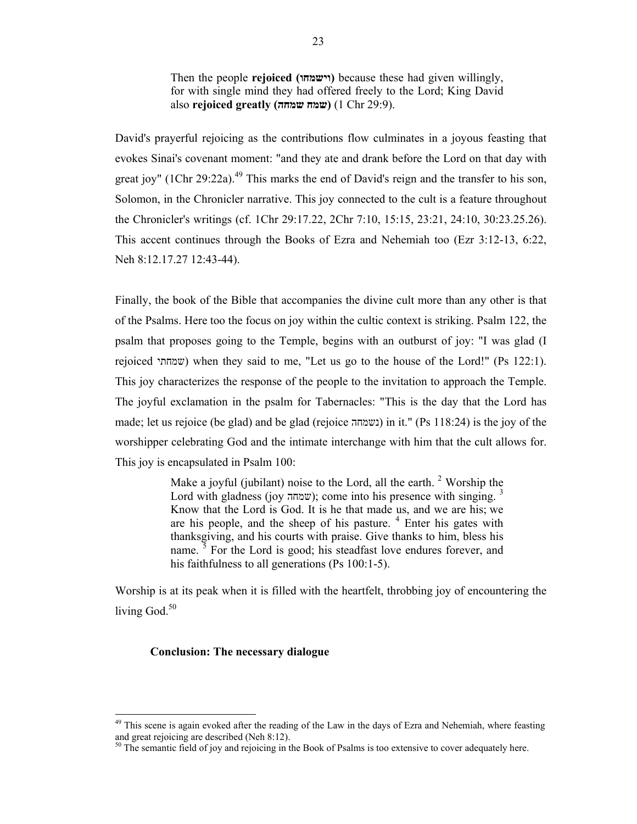Then the people **rejoiced (וישמחו (**because these had given willingly, for with single mind they had offered freely to the Lord; King David also **rejoiced greatly (שמחה שמח**) **(**1 Chr 29:9).

David's prayerful rejoicing as the contributions flow culminates in a joyous feasting that evokes Sinai's covenant moment: "and they ate and drank before the Lord on that day with great joy" (1Chr 29:22a).<sup>49</sup> This marks the end of David's reign and the transfer to his son, Solomon, in the Chronicler narrative. This joy connected to the cult is a feature throughout the Chronicler's writings (cf. 1Chr 29:17.22, 2Chr 7:10, 15:15, 23:21, 24:10, 30:23.25.26). This accent continues through the Books of Ezra and Nehemiah too (Ezr 3:12-13, 6:22, Neh 8:12.17.27 12:43-44).

Finally, the book of the Bible that accompanies the divine cult more than any other is that of the Psalms. Here too the focus on joy within the cultic context is striking. Psalm 122, the psalm that proposes going to the Temple, begins with an outburst of joy: "I was glad (I rejoiced שמחתי (when they said to me, "Let us go to the house of the Lord!" (Ps 122:1). This joy characterizes the response of the people to the invitation to approach the Temple. The joyful exclamation in the psalm for Tabernacles: "This is the day that the Lord has made; let us rejoice (be glad) and be glad (rejoice נשמחה (in it." (Ps 118:24) is the joy of the worshipper celebrating God and the intimate interchange with him that the cult allows for. This joy is encapsulated in Psalm 100:

> Make a joyful (jubilant) noise to the Lord, all the earth.<sup>2</sup> Worship the Lord with gladness (joy שמחה); come into his presence with singing.  $\frac{3}{2}$ Know that the Lord is God. It is he that made us, and we are his; we are his people, and the sheep of his pasture.  $4$  Enter his gates with thanksgiving, and his courts with praise. Give thanks to him, bless his name.  $\frac{3}{5}$  For the Lord is good; his steadfast love endures forever, and his faithfulness to all generations (Ps 100:1-5).

Worship is at its peak when it is filled with the heartfelt, throbbing joy of encountering the living God. $50$ 

## **Conclusion: The necessary dialogue**

<sup>&</sup>lt;sup>49</sup> This scene is again evoked after the reading of the Law in the days of Ezra and Nehemiah, where feasting and great rejoicing are described (Neh 8:12).

 $50$  The semantic field of joy and rejoicing in the Book of Psalms is too extensive to cover adequately here.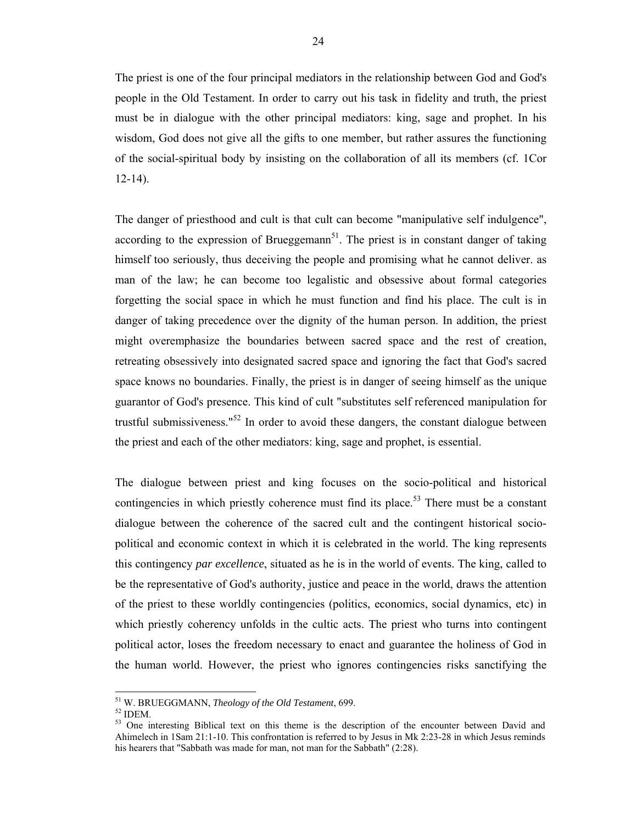The priest is one of the four principal mediators in the relationship between God and God's people in the Old Testament. In order to carry out his task in fidelity and truth, the priest must be in dialogue with the other principal mediators: king, sage and prophet. In his wisdom, God does not give all the gifts to one member, but rather assures the functioning of the social-spiritual body by insisting on the collaboration of all its members (cf. 1Cor 12-14).

The danger of priesthood and cult is that cult can become "manipulative self indulgence", according to the expression of Brueggemann<sup>51</sup>. The priest is in constant danger of taking himself too seriously, thus deceiving the people and promising what he cannot deliver. as man of the law; he can become too legalistic and obsessive about formal categories forgetting the social space in which he must function and find his place. The cult is in danger of taking precedence over the dignity of the human person. In addition, the priest might overemphasize the boundaries between sacred space and the rest of creation, retreating obsessively into designated sacred space and ignoring the fact that God's sacred space knows no boundaries. Finally, the priest is in danger of seeing himself as the unique guarantor of God's presence. This kind of cult "substitutes self referenced manipulation for trustful submissiveness." $52$  In order to avoid these dangers, the constant dialogue between the priest and each of the other mediators: king, sage and prophet, is essential.

The dialogue between priest and king focuses on the socio-political and historical contingencies in which priestly coherence must find its place.<sup>53</sup> There must be a constant dialogue between the coherence of the sacred cult and the contingent historical sociopolitical and economic context in which it is celebrated in the world. The king represents this contingency *par excellence*, situated as he is in the world of events. The king, called to be the representative of God's authority, justice and peace in the world, draws the attention of the priest to these worldly contingencies (politics, economics, social dynamics, etc) in which priestly coherency unfolds in the cultic acts. The priest who turns into contingent political actor, loses the freedom necessary to enact and guarantee the holiness of God in the human world. However, the priest who ignores contingencies risks sanctifying the

<sup>51</sup> W. BRUEGGMANN, *Theology of the Old Testament*, 699. 52 IDEM.

<sup>&</sup>lt;sup>53</sup> One interesting Biblical text on this theme is the description of the encounter between David and Ahimelech in 1Sam 21:1-10. This confrontation is referred to by Jesus in Mk 2:23-28 in which Jesus reminds his hearers that "Sabbath was made for man, not man for the Sabbath" (2:28).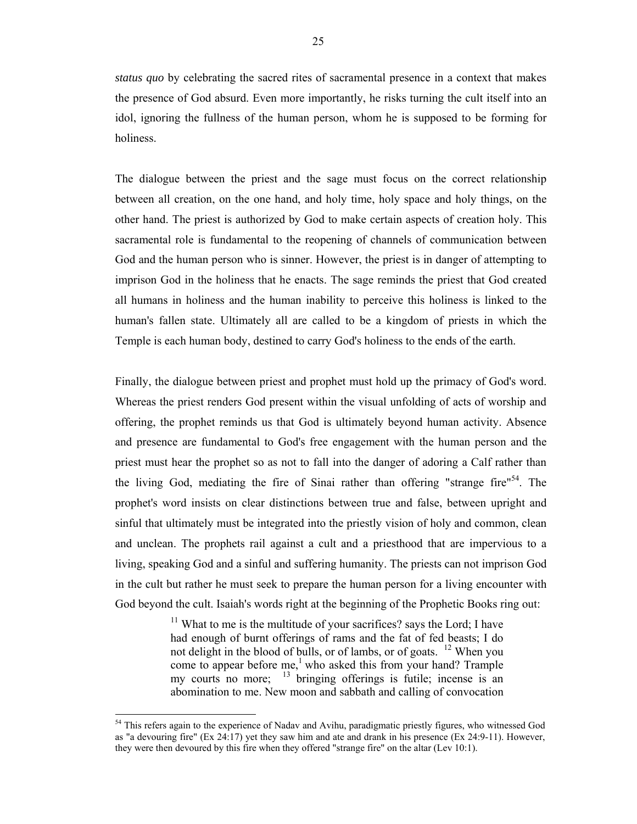*status quo* by celebrating the sacred rites of sacramental presence in a context that makes the presence of God absurd. Even more importantly, he risks turning the cult itself into an idol, ignoring the fullness of the human person, whom he is supposed to be forming for holiness.

The dialogue between the priest and the sage must focus on the correct relationship between all creation, on the one hand, and holy time, holy space and holy things, on the other hand. The priest is authorized by God to make certain aspects of creation holy. This sacramental role is fundamental to the reopening of channels of communication between God and the human person who is sinner. However, the priest is in danger of attempting to imprison God in the holiness that he enacts. The sage reminds the priest that God created all humans in holiness and the human inability to perceive this holiness is linked to the human's fallen state. Ultimately all are called to be a kingdom of priests in which the Temple is each human body, destined to carry God's holiness to the ends of the earth.

Finally, the dialogue between priest and prophet must hold up the primacy of God's word. Whereas the priest renders God present within the visual unfolding of acts of worship and offering, the prophet reminds us that God is ultimately beyond human activity. Absence and presence are fundamental to God's free engagement with the human person and the priest must hear the prophet so as not to fall into the danger of adoring a Calf rather than the living God, mediating the fire of Sinai rather than offering "strange fire"<sup>54</sup>. The prophet's word insists on clear distinctions between true and false, between upright and sinful that ultimately must be integrated into the priestly vision of holy and common, clean and unclean. The prophets rail against a cult and a priesthood that are impervious to a living, speaking God and a sinful and suffering humanity. The priests can not imprison God in the cult but rather he must seek to prepare the human person for a living encounter with God beyond the cult. Isaiah's words right at the beginning of the Prophetic Books ring out:

> $11$  What to me is the multitude of your sacrifices? says the Lord; I have had enough of burnt offerings of rams and the fat of fed beasts; I do not delight in the blood of bulls, or of lambs, or of goats. <sup>12</sup> When you come to appear before me,<sup>1</sup> who asked this from your hand? Trample my courts no more;  $^{13}$  bringing offerings is futile; incense is an abomination to me. New moon and sabbath and calling of convocation

<sup>&</sup>lt;sup>54</sup> This refers again to the experience of Nadav and Avihu, paradigmatic priestly figures, who witnessed God as "a devouring fire" (Ex 24:17) yet they saw him and ate and drank in his presence (Ex 24:9-11). However, they were then devoured by this fire when they offered "strange fire" on the altar (Lev 10:1).